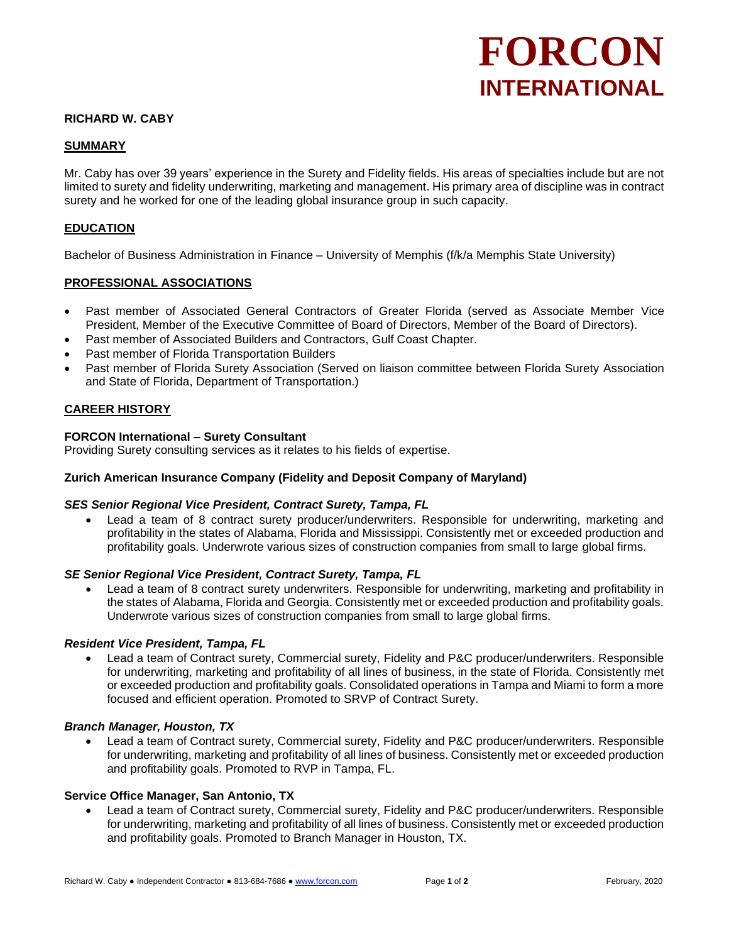# **FORCON INTERNATIONAL**

## **RICHARD W. CABY**

#### **SUMMARY**

Mr. Caby has over 39 years' experience in the Surety and Fidelity fields. His areas of specialties include but are not limited to surety and fidelity underwriting, marketing and management. His primary area of discipline was in contract surety and he worked for one of the leading global insurance group in such capacity.

#### **EDUCATION**

Bachelor of Business Administration in Finance – University of Memphis (f/k/a Memphis State University)

#### **PROFESSIONAL ASSOCIATIONS**

- Past member of Associated General Contractors of Greater Florida (served as Associate Member Vice President, Member of the Executive Committee of Board of Directors, Member of the Board of Directors).
- Past member of Associated Builders and Contractors, Gulf Coast Chapter.
- Past member of Florida Transportation Builders
- Past member of Florida Surety Association (Served on liaison committee between Florida Surety Association and State of Florida, Department of Transportation.)

### **CAREER HISTORY**

#### **FORCON International – Surety Consultant**

Providing Surety consulting services as it relates to his fields of expertise.

#### **Zurich American Insurance Company (Fidelity and Deposit Company of Maryland)**

#### *SES Senior Regional Vice President, Contract Surety, Tampa, FL*

Lead a team of 8 contract surety producer/underwriters. Responsible for underwriting, marketing and profitability in the states of Alabama, Florida and Mississippi. Consistently met or exceeded production and profitability goals. Underwrote various sizes of construction companies from small to large global firms.

#### *SE Senior Regional Vice President, Contract Surety, Tampa, FL*

Lead a team of 8 contract surety underwriters. Responsible for underwriting, marketing and profitability in the states of Alabama, Florida and Georgia. Consistently met or exceeded production and profitability goals. Underwrote various sizes of construction companies from small to large global firms.

#### *Resident Vice President, Tampa, FL*

• Lead a team of Contract surety, Commercial surety, Fidelity and P&C producer/underwriters. Responsible for underwriting, marketing and profitability of all lines of business, in the state of Florida. Consistently met or exceeded production and profitability goals. Consolidated operations in Tampa and Miami to form a more focused and efficient operation. Promoted to SRVP of Contract Surety.

#### *Branch Manager, Houston, TX*

• Lead a team of Contract surety, Commercial surety, Fidelity and P&C producer/underwriters. Responsible for underwriting, marketing and profitability of all lines of business. Consistently met or exceeded production and profitability goals. Promoted to RVP in Tampa, FL.

#### **Service Office Manager, San Antonio, TX**

• Lead a team of Contract surety, Commercial surety, Fidelity and P&C producer/underwriters. Responsible for underwriting, marketing and profitability of all lines of business. Consistently met or exceeded production and profitability goals. Promoted to Branch Manager in Houston, TX.